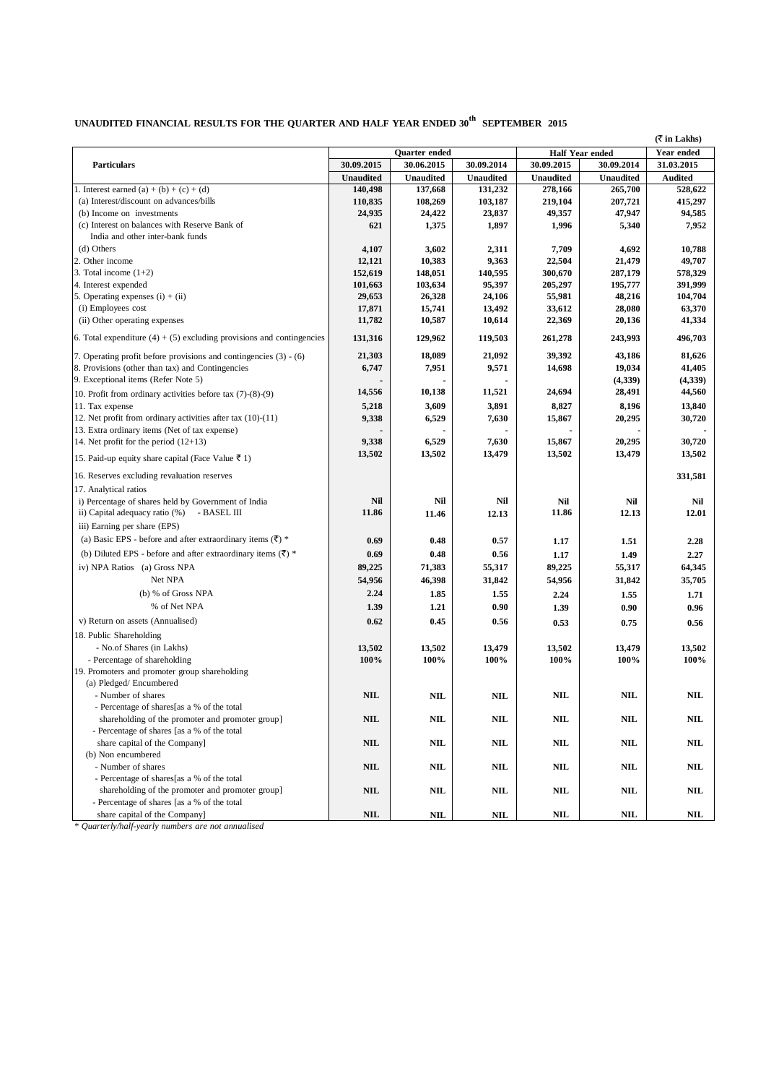## **UNAUDITED FINANCIAL RESULTS FOR THE QUARTER AND HALF YEAR ENDED 30 th SEPTEMBER 2015**

**(**` **in Lakhs)**

|                                                                          | Quarter ended    |                  | <b>Half Year ended</b> |                  | Year ended       |                |
|--------------------------------------------------------------------------|------------------|------------------|------------------------|------------------|------------------|----------------|
| <b>Particulars</b>                                                       | 30.09.2015       | 30.06.2015       | 30.09.2014             | 30.09.2015       | 30.09.2014       | 31.03.2015     |
|                                                                          | <b>Unaudited</b> | <b>Unaudited</b> | <b>Unaudited</b>       | <b>Unaudited</b> | <b>Unaudited</b> | <b>Audited</b> |
| 1. Interest earned (a) + (b) + (c) + (d)                                 | 140,498          | 137,668          | 131,232                | 278,166          | 265,700          | 528,622        |
| (a) Interest/discount on advances/bills                                  | 110,835          | 108,269          | 103,187                | 219,104          | 207,721          | 415,297        |
| (b) Income on investments                                                | 24,935           | 24,422           | 23,837                 | 49,357           | 47,947           | 94,585         |
| (c) Interest on balances with Reserve Bank of                            | 621              | 1,375            | 1,897                  | 1,996            | 5,340            | 7,952          |
| India and other inter-bank funds                                         |                  |                  |                        |                  |                  |                |
| (d) Others                                                               | 4,107            | 3,602            | 2,311                  | 7,709            | 4,692            | 10,788         |
| 2. Other income                                                          | 12,121           | 10,383           | 9,363                  | 22,504           | 21,479           | 49,707         |
| 3. Total income $(1+2)$                                                  | 152,619          | 148,051          | 140,595                | 300,670          | 287,179          | 578,329        |
| 4. Interest expended                                                     | 101,663          | 103,634          | 95,397                 | 205,297          | 195,777          | 391,999        |
| 5. Operating expenses $(i) + (ii)$                                       | 29,653           | 26,328           | 24,106                 | 55,981           | 48,216           | 104,704        |
| (i) Employees cost                                                       | 17,871           | 15,741           | 13,492                 | 33,612           | 28,080           | 63,370         |
| (ii) Other operating expenses                                            | 11,782           | 10,587           | 10,614                 | 22,369           | 20,136           | 41,334         |
| 6. Total expenditure $(4) + (5)$ excluding provisions and contingencies  | 131,316          | 129,962          | 119,503                | 261,278          | 243,993          | 496,703        |
| 7. Operating profit before provisions and contingencies $(3) - (6)$      | 21,303           | 18,089           | 21,092                 | 39,392           | 43,186           | 81,626         |
| 8. Provisions (other than tax) and Contingencies                         | 6,747            | 7,951            | 9,571                  | 14,698           | 19,034           | 41,405         |
| 9. Exceptional items (Refer Note 5)                                      |                  |                  |                        |                  | (4,339)          | (4,339)        |
| 10. Profit from ordinary activities before tax $(7)-(8)-(9)$             | 14,556           | 10,138           | 11,521                 | 24,694           | 28,491           | 44,560         |
| 11. Tax expense                                                          | 5,218            | 3,609            | 3,891                  | 8,827            | 8,196            | 13,840         |
| 12. Net profit from ordinary activities after tax (10)-(11)              | 9,338            | 6,529            | 7,630                  | 15,867           | 20,295           | 30,720         |
| 13. Extra ordinary items (Net of tax expense)                            |                  |                  |                        |                  |                  |                |
| 14. Net profit for the period $(12+13)$                                  | 9,338            | 6,529            | 7,630                  | 15,867           | 20,295           | 30,720         |
| 15. Paid-up equity share capital (Face Value $\bar{z}$ 1)                | 13,502           | 13,502           | 13,479                 | 13,502           | 13,479           | 13,502         |
| 16. Reserves excluding revaluation reserves                              |                  |                  |                        |                  |                  | 331,581        |
| 17. Analytical ratios                                                    |                  |                  |                        |                  |                  |                |
| i) Percentage of shares held by Government of India                      | Nil              | Nil              | Nil                    | Nil              | Nil              | Nil            |
| ii) Capital adequacy ratio (%)<br>- BASEL III                            | 11.86            | 11.46            | 12.13                  | 11.86            | 12.13            | 12.01          |
| iii) Earning per share (EPS)                                             |                  |                  |                        |                  |                  |                |
| (a) Basic EPS - before and after extraordinary items $(\bar{\zeta})$ *   |                  |                  |                        |                  |                  |                |
|                                                                          | 0.69             | 0.48             | 0.57                   | 1.17             | 1.51             | 2.28           |
| (b) Diluted EPS - before and after extraordinary items $(\bar{\zeta})$ * | 0.69             | 0.48             | 0.56                   | 1.17             | 1.49             | 2.27           |
| iv) NPA Ratios (a) Gross NPA                                             | 89,225           | 71,383           | 55,317                 | 89,225           | 55,317           | 64,345         |
| Net NPA                                                                  | 54,956           | 46,398           | 31,842                 | 54,956           | 31,842           | 35,705         |
| (b) % of Gross NPA                                                       | 2.24             | 1.85             | 1.55                   | 2.24             | 1.55             | 1.71           |
| % of Net NPA                                                             | 1.39             | 1.21             | 0.90                   | 1.39             | 0.90             | 0.96           |
| v) Return on assets (Annualised)                                         | 0.62             | 0.45             | 0.56                   | 0.53             | 0.75             | 0.56           |
| 18. Public Shareholding                                                  |                  |                  |                        |                  |                  |                |
| - No.of Shares (in Lakhs)                                                | 13,502           | 13,502           | 13,479                 | 13,502           | 13,479           | 13,502         |
| - Percentage of shareholding                                             | 100%             | 100%             | 100%                   | 100%             | 100%             | 100%           |
| 19. Promoters and promoter group shareholding                            |                  |                  |                        |                  |                  |                |
| (a) Pledged/ Encumbered                                                  |                  |                  |                        |                  |                  |                |
| - Number of shares                                                       | <b>NIL</b>       | <b>NIL</b>       | <b>NIL</b>             | <b>NIL</b>       | <b>NIL</b>       | <b>NIL</b>     |
| - Percentage of shares[as a % of the total                               |                  |                  |                        |                  |                  |                |
| shareholding of the promoter and promoter group]                         | <b>NIL</b>       | <b>NIL</b>       | <b>NIL</b>             | $\mathbf{NIL}$   | <b>NIL</b>       | NIL            |
| - Percentage of shares [as a % of the total                              |                  |                  |                        |                  |                  |                |
| share capital of the Company]                                            | <b>NIL</b>       | <b>NIL</b>       | <b>NIL</b>             | <b>NIL</b>       | <b>NIL</b>       | <b>NIL</b>     |
| (b) Non encumbered                                                       |                  |                  |                        |                  |                  |                |
| - Number of shares                                                       | <b>NIL</b>       | <b>NIL</b>       | <b>NIL</b>             | NIL              | <b>NIL</b>       | <b>NIL</b>     |
| - Percentage of shares[as a % of the total                               |                  |                  |                        |                  |                  |                |
| shareholding of the promoter and promoter group]                         | <b>NIL</b>       | <b>NIL</b>       | <b>NIL</b>             | <b>NIL</b>       | NIL              | <b>NIL</b>     |
| - Percentage of shares [as a % of the total                              |                  |                  |                        |                  |                  |                |
| share capital of the Company]                                            | <b>NIL</b>       | NIL              | $\mathbf{NIL}$         | NIL              | <b>NIL</b>       | NIL            |

\* *Quarterly/half-yearly numbers are not annualised*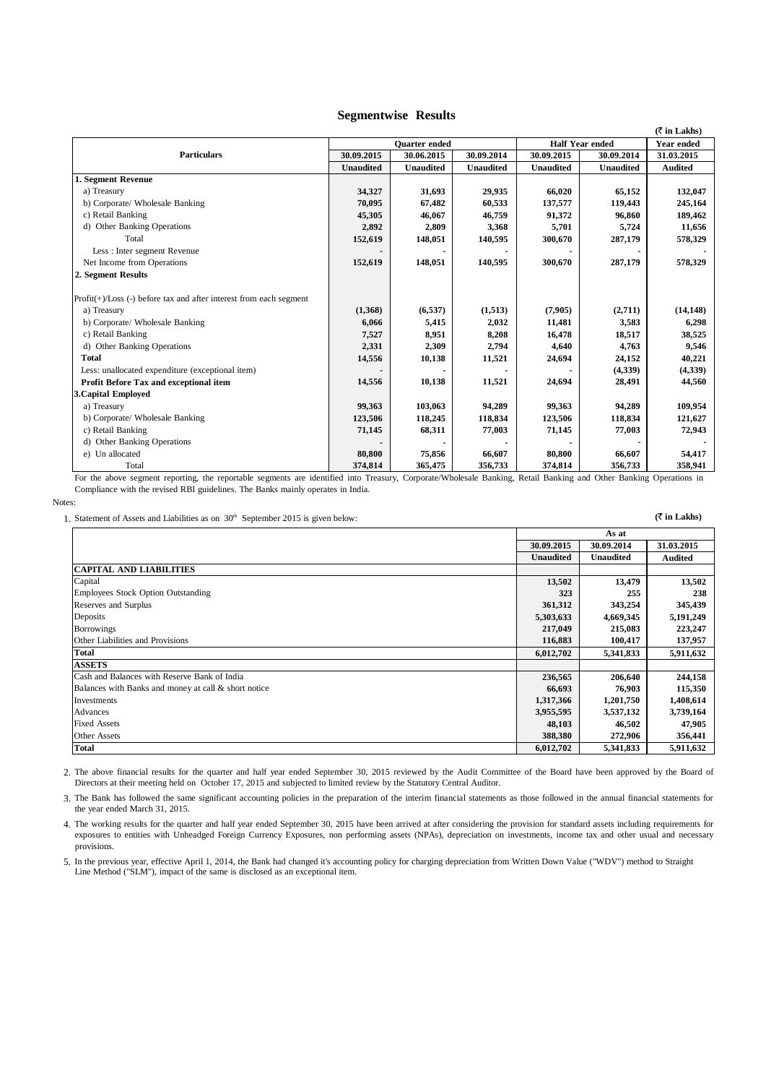## **Segmentwise Results**

|                                                                     |                      |                  |                  |                        |                  | $(\bar{\tau}$ in Lakhs) |
|---------------------------------------------------------------------|----------------------|------------------|------------------|------------------------|------------------|-------------------------|
|                                                                     | <b>Ouarter</b> ended |                  |                  | <b>Half Year ended</b> |                  | <b>Year ended</b>       |
| <b>Particulars</b>                                                  | 30.09.2015           | 30.06.2015       | 30.09.2014       | 30.09.2015             | 30.09.2014       | 31.03.2015              |
|                                                                     | <b>Unaudited</b>     | <b>Unaudited</b> | <b>Unaudited</b> | <b>Unaudited</b>       | <b>Unaudited</b> | <b>Audited</b>          |
| 1. Segment Revenue                                                  |                      |                  |                  |                        |                  |                         |
| a) Treasury                                                         | 34,327               | 31,693           | 29,935           | 66,020                 | 65,152           | 132,047                 |
| b) Corporate/ Wholesale Banking                                     | 70,095               | 67,482           | 60,533           | 137,577                | 119,443          | 245,164                 |
| c) Retail Banking                                                   | 45,305               | 46,067           | 46,759           | 91,372                 | 96,860           | 189,462                 |
| d) Other Banking Operations                                         | 2,892                | 2,809            | 3,368            | 5,701                  | 5,724            | 11,656                  |
| Total                                                               | 152,619              | 148,051          | 140,595          | 300,670                | 287,179          | 578,329                 |
| Less : Inter segment Revenue                                        |                      |                  |                  |                        |                  |                         |
| Net Income from Operations                                          | 152,619              | 148,051          | 140,595          | 300,670                | 287,179          | 578,329                 |
| 2. Segment Results                                                  |                      |                  |                  |                        |                  |                         |
| $Profit(+)/Loss(-)$ before tax and after interest from each segment |                      |                  |                  |                        |                  |                         |
| a) Treasury                                                         | (1,368)              | (6, 537)         | (1,513)          | (7,905)                | (2,711)          | (14, 148)               |
| b) Corporate/ Wholesale Banking                                     | 6,066                | 5,415            | 2,032            | 11,481                 | 3,583            | 6,298                   |
| c) Retail Banking                                                   | 7,527                | 8,951            | 8,208            | 16,478                 | 18,517           | 38,525                  |
| d) Other Banking Operations                                         | 2,331                | 2,309            | 2,794            | 4,640                  | 4,763            | 9,546                   |
| <b>Total</b>                                                        | 14,556               | 10,138           | 11,521           | 24,694                 | 24,152           | 40,221                  |
| Less: unallocated expenditure (exceptional item)                    |                      |                  |                  |                        | (4,339)          | (4,339)                 |
| Profit Before Tax and exceptional item                              | 14,556               | 10,138           | 11,521           | 24,694                 | 28,491           | 44,560                  |
| <b>3. Capital Employed</b>                                          |                      |                  |                  |                        |                  |                         |
| a) Treasury                                                         | 99,363               | 103,063          | 94.289           | 99.363                 | 94.289           | 109,954                 |
| b) Corporate/ Wholesale Banking                                     | 123,506              | 118,245          | 118,834          | 123,506                | 118,834          | 121,627                 |
| c) Retail Banking                                                   | 71,145               | 68,311           | 77,003           | 71,145                 | 77,003           | 72,943                  |
| d) Other Banking Operations                                         |                      |                  |                  |                        |                  |                         |
| e) Un allocated                                                     | 80,800               | 75,856           | 66,607           | 80,800                 | 66,607           | 54,417                  |
| Total                                                               | 374,814              | 365,475          | 356,733          | 374,814                | 356,733          | 358,941                 |

For the above segment reporting, the reportable segments are identified into Treasury, Corporate/Wholesale Banking, Retail Banking and Other Banking Operations in Compliance with the revised RBI guidelines. The Banks mainly operates in India.

Notes:

1. Statement of Assets and Liabilities as on  $30^{\text{th}}$  September 2015 is given below: **(\*** in **Lakhs) (\*** in **Lakhs**)

|                                                      | 30.09.2015       | 30.09.2014       | 31.03.2015     |
|------------------------------------------------------|------------------|------------------|----------------|
|                                                      | <b>Unaudited</b> | <b>Unaudited</b> | <b>Audited</b> |
| <b>CAPITAL AND LIABILITIES</b>                       |                  |                  |                |
| Capital                                              | 13,502           | 13,479           | 13,502         |
| <b>Employees Stock Option Outstanding</b>            | 323              | 255              | 238            |
| Reserves and Surplus                                 | 361,312          | 343,254          | 345,439        |
| Deposits                                             | 5,303,633        | 4,669,345        | 5,191,249      |
| <b>Borrowings</b>                                    | 217,049          | 215,083          | 223,247        |
| Other Liabilities and Provisions                     | 116,883          | 100,417          | 137,957        |
| <b>Total</b>                                         | 6,012,702        | 5,341,833        | 5,911,632      |
| <b>ASSETS</b>                                        |                  |                  |                |
| Cash and Balances with Reserve Bank of India         | 236,565          | 206,640          | 244,158        |
| Balances with Banks and money at call & short notice | 66,693           | 76,903           | 115,350        |
| Investments                                          | 1,317,366        | 1,201,750        | 1,408,614      |
| Advances                                             | 3,955,595        | 3,537,132        | 3,739,164      |
| <b>Fixed Assets</b>                                  | 48,103           | 46,502           | 47,905         |
| <b>Other Assets</b>                                  | 388,380          | 272,906          | 356,441        |
| <b>Total</b>                                         | 6,012,702        | 5,341,833        | 5,911,632      |

2. The above financial results for the quarter and half year ended September 30, 2015 reviewed by the Audit Committee of the Board have been approved by the Board of Directors at their meeting held on October 17, 2015 and subjected to limited review by the Statutory Central Auditor.

3. The Bank has followed the same significant accounting policies in the preparation of the interim financial statements as those followed in the annual financial statements for the year ended March 31, 2015.

4. The working results for the quarter and half year ended September 30, 2015 have been arrived at after considering the provision for standard assets including requirements for exposures to entities with Unheadged Foreign Currency Exposures, non performing assets (NPAs), depreciation on investments, income tax and other usual and necessary provisions.

5. In the previous year, effective April 1, 2014, the Bank had changed it's accounting policy for charging depreciation from Written Down Value ("WDV") method to Straight Line Method ("SLM"), impact of the same is disclosed as an exceptional item.